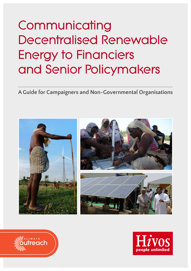# **Communicating Decentralised Renewable Energy to Financiers and Senior Policymakers**

**A Guide for Campaigners and Non-Governmental Organisations**





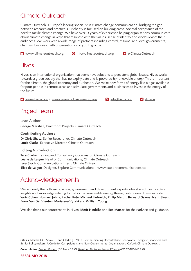## Climate Outreach

Climate Outreach is Europe's leading specialist in climate change communication, bridging the gap between research and practice. Our charity is focused on building cross-societal acceptance of the need to tackle climate change. We have over 13 years of experience helping organisations communicate about climate change in ways that resonate with the values, sense of identity and worldview of their audiences. We work with a wide range of partners including central, regional and local governments, charities, business, faith organisations and youth groups.

**A** [www.climateoutreach.org](http://www.climateoutreach.org) **@** [info@climateoutreach.org](mailto:info%40climateoutreach.org?subject=) **9** [@ClimateOutreach](https://twitter.com/climateoutreach)

**D** [@hivos](http://twitter.com/hivos)

### Hivos

Hivos is an international organisation that seeks new solutions to persistent global issues. Hivos works towards a green society that has no expiry date and is powered by renewable energy. This is important for the climate, the global economy and our health. We make new forms of energy like biogas available for poor people in remote areas and stimulate governments and businesses to invest in the energy of the future.

**A** [www.hivos.org](http://www.hivos.org) & [www.greeninclusiveenergy.org](http://www.greeninclusiveenergy.org)

|  | @ info@hivos.org |
|--|------------------|
|--|------------------|

## Project team

**Lead Author George Marshall**, Director of Projects, Climate Outreach

**Contributing Authors Dr Chris Shaw**, Senior Researcher, Climate Outreach **Jamie Clarke**, Executive Director, Climate Outreach

**Editing & Production Tara Clarke**, Training and Consultancy Coordinator, Climate Outreach **Léane de Laigue**, Head of Communications, Climate Outreach **Lara Bloch**, Communications Intern, Climate Outreach **Elise de Laigue**, Designer, Explore Communications - www.[explorecommunications.ca](http://www.explorecommunications.ca)

## Acknowledgements

We sincerely thank those business, government and development experts who shared their practical insights and knowledge relating to distributed renewable energy through interviews. These include **Yariv Cohen**, **Howard Johns**, **Rachel Kyte**, **Michael Liebreich**, **Philip Martin**, **Bernard Osawa**, **Nezir Sinani**, **Frank Van Der Vleuten**, **Marialena Vyzaki** and **William Young**.

We also thank our counterparts in Hivos, **Merit Hindriks** and **Eco Matser**, for their advice and guidance.

**Cite as:** Marshall, G., Shaw, C. and Clarke, J. (2018). Communicating Decentralised Renewable Energy to Financiers and Senior Policymakers: A Guide for Campaigners and Non-Governmental Organisations. Oxford: Climate Outreach.

**Cover photos:** [Braden Gunem](https://www.flickr.com/photos/bradengunem/3433135588/) (CC BY-NC 2.0), [Barefoot Photographers of Tilonia](https://www.flickr.com/photos/barefootcollege/4028688322/) (CC BY-NC-ND 2.0)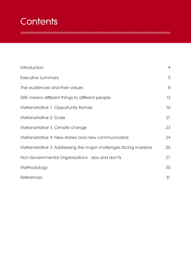## **Contents**

| Introduction                                                      | $\overline{4}$ |
|-------------------------------------------------------------------|----------------|
| Executive summary                                                 | 5              |
| The audiences and their values                                    | 8              |
| DRE means different things to different people                    | 13             |
| Metanarrative 1: Opportunity frames                               | 16             |
| Metanarrative 2: Scale                                            | 21             |
| Metanarrative 3: Climate change                                   | 23             |
| Metanarrative 4: New stories and new communicators                | 24             |
| Metanarrative 5: Addressing the major challenges facing investors | 26             |
| Non-Governmental Organisations - dos and don'ts                   | 27             |
| Methodology                                                       | 30             |
| <b>References</b>                                                 | 31             |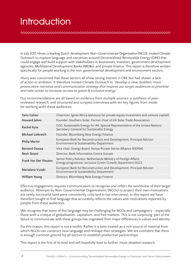## **Introduction**

In July 2017, Hivos, a leading Dutch development Non-Governmental Organisation (NGO), invited Climate Outreach to explore language and narratives around Decentralised Renewable Energy (DRE) that could engage and build support with stakeholders in businesses, investors, government development agencies, Multilateral Development Banks (MDBs), and private finance. This report is therefore written specifically for people working in the non-governmental development and environment sectors.

Hivos was concerned that these sectors all show strong interest in DRE but had shown a lack of action or ambition. It therefore invited Climate Outreach to *"develop a new, bold(er), more provocative narrative and communication strategy that inspires our target audiences to prioritise and take action to increase access to green & inclusive energy."*

Our recommendations are all based on evidence from multiple sources: a synthesis of peerreviewed research, and structured and scripted interviews with ten key figures from inside (or working with) these audiences.

| <b>Yariv Cohen</b>           | Chairman, Ignite Africa (advisory for private equity investment and venture capital)                                         |
|------------------------------|------------------------------------------------------------------------------------------------------------------------------|
| <b>Howard Johns</b>          | Founder, Southern Solar; Former chair of UK Solar Trade Association                                                          |
| <b>Rachel Kyte</b>           | CEO, Sustainable Energy for All; Special Representative of the United Nations<br>Secretary-General for Sustainable Energy    |
| <b>Michael Liebreich</b>     | Founder, Bloomberg New Energy Finance                                                                                        |
| <b>Philip Martin</b>         | European Bank for Reconstruction and Development; Principal Adviser,<br>Environment & Sustainability Department              |
| <b>Bernard Osawa</b>         | Vice chair, Energy Board, Kenya Private Sector Alliance (KEPSA)                                                              |
| <b>Nezir Sinani</b>          | Director, Bank Information Centre Europe                                                                                     |
| <b>Frank Van Der Vleuten</b> | Senior Policy Advisor, Netherlands Ministry of Foreign Affairs,<br>Energy programme; Inclusive Green Growth department (IGG) |
| Marialena Vyzaki             | European Bank for Reconstruction and Development; Principal Adviser,<br>Environment & Sustainability Department              |
| <b>William Young</b>         | Director, Bloomberg New Energy Finance                                                                                       |

Effective engagement requires communicators to recognise and reflect the worldview of their target audience. Attempts by Non-Governmental Organisations (NGOs) to project their own motivations are rarely successful (and were consistently criticised in our interviews). In this report we have therefore sought to find language that accurately reflects the values and motivations reported by people from these audiences.

We recognise that some of this language may be challenging for NGOs and campaigners - especially those with a critique of globalisation, capitalism, and free markets. This is not surprising: part of the failure to communicate with these groups has originated from major differences in values and identity.

For this reason, this report is not a toolkit. Rather it is best treated as a rich source of material from which NGOs can construct new language and reshape their strategies. We are confident that there is enough common ground for all sectors to establish productive partnerships.

This report is the first of its kind and will hopefully lead to further, more detailed research.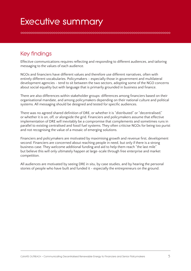## **Executive summary**

**AAAAAAAAAAAAAAAAAAAAAAAAAAA** 

## Key findings

Effective communications requires reflecting and responding to different audiences, and tailoring messaging to the values of each audience.

NGOs and financiers have different values and therefore use different narratives, often with entirely different vocabularies. Policymakers - especially those in government and multilateral development agencies - tend to sit between the two sectors, adopting some of the NGO concerns about social equality but with language that is primarily grounded in business and finance.

There are also differences within stakeholder groups: differences among financiers based on their organisational mandate, and among policymakers depending on their national culture and political systems. All messaging should be designed and tested for specific audiences.

There was no agreed shared definition of DRE, or whether it is "distributed" or "decentralised," or whether it is on, off, or alongside the grid. Financiers and policymakers assume that effective implementation of DRE will inevitably be a compromise that complements and sometimes runs in parallel to existing centralised and fossil fuel systems. They often criticise NGOs for being too purist and not recognising the value of a mosaic of emerging solutions.

Financiers and policymakers are motivated by maximising growth and revenue first, development second. Financiers are concerned about reaching people in need, but only if there is a strong business case. They welcome additional funding and aid to help them reach "the last mile" but believe this will only ultimately happen at large-scale through free enterprise and market competition.

All audiences are motivated by seeing DRE in situ, by case studies, and by hearing the personal stories of people who have built and funded it - especially the entrepreneurs on the ground.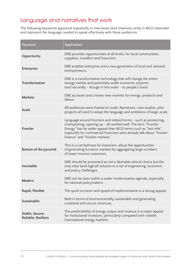## Language and narratives that work

The following keywords appeared repeatedly in interviews (and relatively rarely in NGO materials) and represent the language needed to speak effectively with these audiences.

| Keyword                                | Application                                                                                                                                                                                                                                                                                                         |
|----------------------------------------|---------------------------------------------------------------------------------------------------------------------------------------------------------------------------------------------------------------------------------------------------------------------------------------------------------------------|
| Opportunity                            | DRE provides opportunities at all levels, for local communities,<br>suppliers, installers and financiers.                                                                                                                                                                                                           |
| <b>Enterprise</b>                      | DRE enables enterprise and a new generation of local and national<br>entrepreneurs.                                                                                                                                                                                                                                 |
| <b>Transformation</b>                  | DRE is a transformative technology that will change the entire<br>energy market and potentially wider economic systems<br>(and secondly - though in this order - to people's lives).                                                                                                                                |
| <b>Markets</b>                         | DRE accesses and creates new markets for energy, products and<br>labour.                                                                                                                                                                                                                                            |
| <b>Scale</b>                           | All audiences were fixated on scale. Narratives, case studies, pilot<br>projects all need to adopt the language and ambitions of large-scale.                                                                                                                                                                       |
| <b>Frontier</b>                        | Language around frontiers and related terms - such as pioneering,<br>championing, opening up - all worked well. The term "Frontier<br>Energy" has far wider appeal than NGO terms such as "last mile",<br>especially for commercial financiers who already talk about "frontier<br>finance" and "frontier markets." |
| Bottom of the pyramid                  | This is a catchphrase for financiers, about the opportunities<br>of generating lucrative markets by aggregating large numbers<br>of lower income customers.                                                                                                                                                         |
| Inevitable                             | DRE should be presented as not a desirable ethical choice but the<br>only clear (and logical) solution to a set of engineering, economic<br>and policy challenges.                                                                                                                                                  |
| Modern                                 | DRE can be seen within a wider modernisation agenda, especially<br>for national policymakers                                                                                                                                                                                                                        |
| Rapid, Flexible                        | The quick turnover and speed of implementation is a strong appeal.                                                                                                                                                                                                                                                  |
| Sustainable                            | Both in terms of environmentally sustainable and generating<br>sustained and secure revenues.                                                                                                                                                                                                                       |
| Stable, Secure,<br>Reliable, Resilient | The predictability of energy output and revenue is a major appeal<br>for institutional investors, particularly compared with volatile<br>international energy markets.                                                                                                                                              |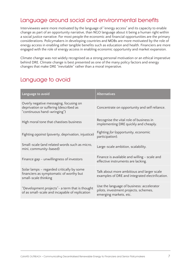## Language around social and environmental benefits

Interviewees were more motivated by the language of "energy access" and its capacity to enable change as part of an opportunity narrative, than NGO language about it being a human right within a social justice narrative. For most people the economic and financial opportunities are the primary considerations. Policymakers in developing countries and MDBs are more motivated by the role of energy access in enabling other tangible benefits such as education and health. Financiers are more engaged with the role of energy access in enabling economic opportunity and market expansion.

Climate change was not widely recognised as a strong personal motivation or an ethical imperative behind DRE. Climate change is best presented as one of the many policy factors and energy changes that make DRE "inevitable" rather than a moral imperative.

### Language to avoid

| Language to avoid                                                                                               | <b>Alternatives</b>                                                                                          |
|-----------------------------------------------------------------------------------------------------------------|--------------------------------------------------------------------------------------------------------------|
| Overly negative messaging, focusing on<br>deprivation or suffering (described as<br>"continuous hand-wringing") | Concentrate on opportunity and self reliance.                                                                |
| High moral tone that chastises business                                                                         | Recognise the vital role of business in<br>implementing DRE quickly and cheaply.                             |
| Fighting against (poverty, deprivation, injustice)                                                              | Fighting for (opportunity, economic<br>participation).                                                       |
| Small-scale (and related words such as micro,<br>mini, community-based)                                         | Large-scale ambition, scalability.                                                                           |
| Finance gap - unwillingness of investors                                                                        | Finance is available and willing - scale and<br>effective instruments are lacking.                           |
| Solar lamps – regarded critically by some<br>financiers as symptomatic of worthy but<br>small-scale thinking    | Talk about more ambitious and larger scale<br>examples of DRE and integrated electrification.                |
| "Development projects" - a term that is thought<br>of as small-scale and incapable of replication               | Use the language of business: accelerator<br>pilots, investment projects, schemes,<br>emerging markets, etc. |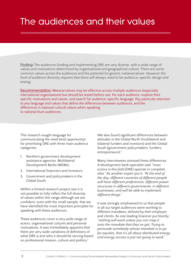## **The audiences and their values**

**Finding:** The audiences funding and implementing DRE are very diverse, with a wide range of values and motivations determined by organisational and geographical culture. There are some common values across the audiences and the potential for generic metanarratives. However the level of audience diversity requires that there will always need to be audience-specific design and testing.

**Recommendation:** Metanarratives may be effective across multiple audiences (especially international organisations) but should be tested before use. For each audience, explore their specific motivations and values, and search for audience-specific language. Pay particular attention to any language and values that define the differences between audiences, and the differences in national cultural values when speaking to national level audiences.

This research sought language for communicating the need (and opportunity) for prioritising DRE with three main audience categories:

- 1. Northern government development assistance agencies, Multilateral Development Banks (MDBs);
- 2. International financiers and investors;
- 3. Government and policymakers in the Global South.

Within a limited research project size it is not possible to fully reflect the full diversity of values within this range although we are confident, even with the small sample, that we have identified the most important principles for speaking with these audiences.

These audiences cover a very wide range of actors, organisational cultures and personal motivations. It was immediately apparent that there are very wide variations of definitions of what DRE is and who it should be serving based on professional mission, culture and politics.<sup>1</sup>

We also found significant differences between attitudes in the Global North (multilateral and bilateral funders and investors) and the Global South (government policymakers, funders, entrepreneurs)[.2](#page-30-1)

Many interviewees stressed these differences. A development bank specialist said *"most actors in this field [DRE] operate in complete silos."* As another expert put it: *"At the end of the day, different countries of different people will have different preferences, different power structures in different governments, in different businesses, and will be able to implement different things."*

It was strongly emphasised to us that people in all our target audiences were working to different mandates, defined by their employer and clients. As one leading financier put bluntly: *"nothing will work unless you can map it onto the mandate that they've got. Trying to persuade somebody whose mandate is to go for equities, that it's all about distributed energy and energy access is just not going to work."*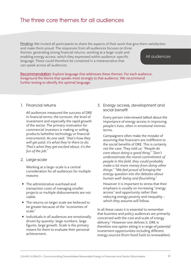## The three core themes for all audiences

**Finding:** We invited all participants to share the aspects of their work that give them satisfaction

and make them proud. The responses from all audiences focuses on three themes: generating strong financial returns, working at a large-scale and enabling energy access, which they expressed within audience-specific language. These could therefore be contained in a metanarrative that can speak across all audiences.

#### All audiences

**Recommendation:** Explore language that addresses these themes. For each audience, foreground the theme that speaks most strongly to that audience. We recommend further testing to identify the optimal language.

#### **1. Financial returns**

All audiences measured the success of DRE in financial terms; the turnover, the level of investment and especially the rapid growth of the sector. The primary motivation for commercial investors is making or selling products (whether technology or financial instruments). As one said: *"that's how they will get paid, it's what they're there to do. That's what they get excited about, it's the fun of the job."* 

**2. Large-scale**

Working at a large-scale is a central consideration for all audiences for multiple reasons:

- The administrative overhead and transaction costs of managing smaller projects or multiple disbursements are not viable.
- The returns on larger scale are believed to be greater because of the "economies of scale."
- Individuals in all audiences are emotionally driven by quantity: large numbers, large figures, large growth. Scale is the primary means for them to evaluate their personal achievement.

**3. Energy access, development and social benefit**

Every person interviewed talked about the importance of energy access in improving people's lives, often in emotional intrinsic terms.

Campaigners often make the mistake of assuming that financiers are indifferent to the social benefits of DRE. This is certainly not the case. They told us: *"People do care about doing a good thing." "Don't underestimate the moral commitment of people in this field, they could probably make a lot more money from doing other things." "We feel proud of bringing the energy question into the debates about human well-being and flourishing."*

However it is important to stress that their emphasis is usually on increasing "energy access" and opportunity rather than reducing energy poverty and inequality which they assume will follow.

In all these cases it is essential to remember that business and policy audiences are primarily concerned with the cost and scale of energy delivery.[3](#page-30-2) However one defines it, DRE is therefore one option sitting in a range of potential investment opportunities including different energy sources (from fossil fuels to renewables),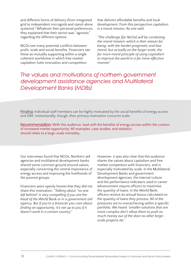and different forms of delivery (from integrated grid to independent microgrids and stand-alone systems)[.4](#page-30-3) Whatever their personal preferences, they explained that their sector was "agnostic" regarding the different options.

NGOs see many potential conflicts between profit, scale and social benefits. Financiers see these as mutually supporting within a single coherent worldview in which free market capitalism fuels innovation and competition

that delivers affordable benefits and local development. From this perspective capitalism is a moral mission. As one said:

*"The challenge [for NGOs] will be combining the moral mission, which is their reason for being, with the harder pragmatic and less moral, but actually on the larger scale, the far more moral principle of using capitalism to improve the world in a far more effective manner."*

*The values and motivations of northern government development assistance agencies and Multilateral Development Banks (MDBs)*

**Finding:** Individual staff members can be highly motivated by the social benefits of energy access and DRE. Institutionally, though, their primary motivation concerns scale.

**Recommendation:** With this audience, lead with the benefits of energy access within the context of increased market opportunity. All examples, case studies, and statistics should relate to a large-scale mentality.

Our interviews found that NGOs, Northern aid agencies and multilateral development banks shared some common ground around values, especially concerning the central importance of energy access and improving the livelihoods of the poorest groups.

Financiers were openly honest that they did not share this motivation: *"Talking about "no one left behind" is very compelling if you are the head of the World Bank or in a government aid agency. But if you're a financier you care about finding an opportunity. It's not up to you if it doesn't work in a certain country."* 

However, it was also clear that this audience shares the values about capitalism and free market competition with financiers, and is especially motivated by scale. In the Multilateral Development Banks and government development agencies, the internal culture and the performance indicators used in career advancement require officers to maximise the quantity of loans. In the World Bank, officers receive an annual bonus calculated on the quantity of loans they process. All of the pressures are to overachieving within a specific portfolio. We heard *"smaller solutions that are more complex don't allow them to push as much money out of the door as other largescale projects do."*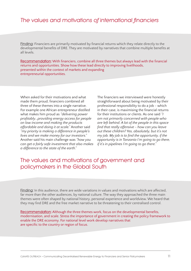### *The values and motivations of international financiers*

**Finding:** Financiers are primarily motivated by financial returns which they relate directly to the developmental benefits of DRE. They are motivated by narratives that combine multiple benefits at all levels.

**Recommendation:** With financiers, combine all three themes but always lead with the financial returns and opportunities. Show how these lead directly to improving livelihoods, presented within the context of markets and expanding entrepreneurial opportunities.

When asked for their motivations and what made them proud, financiers combined all three of these themes into a single narrative. For example one African entrepreneur distilled what makes him proud as *"delivering power profitably...providing energy access for people on low income and making the products affordable and doing it at scale."* Another said *"my priority is making a difference in people's lives and we make money for our investors."*  Another said his main challenge was *"how you can get a fairly safe investment that also makes a difference to the state of the earth."*

The financiers we interviewed were honestly straightforward about being motivated by their professional responsibility to do a job - which in their case, is maximising the financial returns for their institutions or clients. As one said *"I am not primarily concerned with people who are left behind. A lot of the people in this space find that really offensive - how can you leave out these children? Yes, absolutely, but it's not my job. My job is to find the opportunity, if the opportunity is in Tanzania I'm going to go there, if it's in pipelines I'm going to go there."*

### The values and motivations of government and policymakers in the Global South

**Finding:** In this audience, there are wide variations in values and motivations which are affected, far more than the other audiences, by national culture. The way they approached the three main themes were often shaped by national history, personal experience and worldview. We heard that they may find DRE and the free market narrative to be threatening to their centralised control.

**Recommendation:** Although the three themes work, focus on the developmental benefits, modernisation, and scale. Stress the importance of government in creating the policy framework to enable the DRE economy. For national level work develop narratives that are specific to the country or region of focus.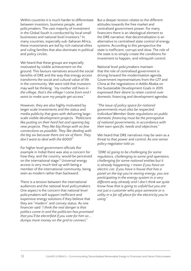Within countries it is much harder to differentiate between investors, business people, and policymakers. The vast majority of investment in the Global South is conducted by local small businesses and national level investors.[5](#page-30-4) In many countries, especially sub-Saharan Africa, these investments are led by rich national elites and ruling families that also dominate in political and policy circles.

We heard that these groups are especially motivated by visible achievement on the ground. This favours narratives around the social benefits of DRE and the way that energy access transforms the social and cultural value of life in the community. We were told that investors may well be thinking: *"my mother still lives in the village, that's the village I come from and I want to make sure my people get access."* 

However, they are also highly motivated by larger scale investments and the status and media publicity that goes with delivering largescale visible development projects. *"Politicians like putting on their hard hat and opening big new projects. They like big things with as few connections as possible. They like dealing with the big six because there are six of them. They don't want to deal with the 6000!"*

For higher level government officials (for example in India) there was also a concern for how they, and the country, would be perceived on the international stage.<sup>[6](#page-30-5)</sup> Universal energy access is very much tied up with being a member of the international community, being seen as modern rather than backward.

There is a tension between the international audiences and the national level policymakers. One aspect is the concern that national level policymakers will support inefficient and expensive energy solutions if they believe that they are "modern" and convey status. As one financier said *"I think the real danger is that politics come in and the politician has promised that you'll be electrified if you vote for him so ... dumps more money on the grid to connect."*

But a deeper tension relates to the different attitudes towards the free market and centralised government power. For many financiers there is an ideological element to the DRE narrative; that decentralisation is an alternative to centralised state control of energy systems. According to this perspective the state is inefficient, corrupt and slow. The role of the state is to simply create the conditions for investment to happen, and relinquish control.

National level policymakers maintain that the role of centralised government is driving forward the modernisation agenda. Government representatives from the G77 and China at the negotiations in Addis Ababa on the Sustainable Development Goals in 2015 expressed their desire to retain control over domestic financing and development agendas:

*"The issue of policy space for national governments must also be respected. Individual Member State regulations on public domestic financing must be the prerogative of national governments, in accordance with their own specific needs and objectives."*

We heard that DRE narratives may be seen as a threat to that power and control. As one senior policy negotiator told us:

*"[DRE is] going to be challenging for some regulators, challenging to some grid operators, challenging for some national entities but it is already happening. I mean if you have an electric car, if you have a house that has a panel on the top you're storing energy, you are participating in the energy system in a very different way already and I don't think we quite know how that is going to unfold but you are not just a customer who pays someone or a utility in a far off place for the electricity you're using."*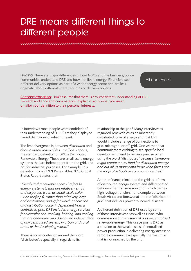## **DRE means different things to different people**

**Finding:** There are major differences in how NGOs and the business/policy communities understand DRE and how it delivers energy. Financiers see different delivery options as part of a wider energy sector and are less dogmatic about different energy sources or delivery options.

#### All audiences

**Recommendation:** Don't assume that there is any consistent understanding of DRE. For each audience and circumstance, explain exactly what you mean or tailor your definition to their personal interests.

In interviews most people were confident of their understanding of "DRE". Yet they displayed varied definitions of what it meant.

The first divergence is between *distributed* and *decentralised renewables*. In official reports, the standard definition of DRE is Distributed Renewable Energy. These are small scale energy systems that are independent from the grid, and not for industrial purposes. For example, this definition from REN21 Renewables 2015 Global Status Report states that:

*"Distributed renewable energy" refers to energy systems 1) that are relatively small and dispersed (such as small-scale solar PV on rooftops), rather than relatively large and centralised; and 2) for which generation and distribution occur independent from a centralised grid. DRE includes energy services for electrification, cooking, heating, and cooling that are generated and distributed independent of any centralised system, in urban and rural areas of the developing world."*[7](#page-30-6)

There is some confusion around the word "distributed", especially in regards to its

relationship to the grid.<sup>8</sup> Many interviewees regarded renewables as an inherently distributed form of energy and that DRE would include a range of connections to grid, microgrid, or off-grid. One warned that communicators wishing to see specific local development need to be very precise when using the word "distributed" because *"someone might create a new fund for distributed energy and put all its money into large wind farms not the roofs of schools or community centres."*

Another financier included the grid as a form of distributed energy system and differentiated between the "transmission grid" which carries high-voltage transfers (for example between South Africa and Botswana) and the "distribution grid" that delivers power to individual users.

A different definition of DRE used by some of those interviewed (as well as Hivos, who commissioned this research) is as *decentralised* renewable energy. This usage posits DRE as a solution to the weaknesses of centralised power production in delivering energy access to remote communities-especially the "last mile" that is not reached by the grid.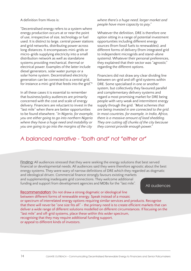#### A definition from Hivos is:

"Decentralised energy refers to a system where energy production occurs at or near the point of use, irrespective of size, technology or fuel used. It is distinct to large, central power stations and grid networks, distributing power across long distances. It encompasses mini-grids or micro-grids supplying electricity into a small distribution network as well as standalone systems providing mechanical, thermal or electrical power. Examples of the latter include diesel generators, solar water pumps or a solar home system. Decentralised electricity generation can be connected to a central grid, for instance a mini-grid that feeds into the grid."[9](#page-30-8)

In all these cases it is essential to remember that business/policy audiences are primarily concerned with the cost and scale of energy delivery. Financiers are reluctant to invest in the "last mile" when there are better opportunities to be found elsewhere. "*In Nigeria, for example, you are either going to go into northern Nigeria where they have a huge need and instability or you are going to go into the margins of the city* 

#### *where there's a huge need, larger market and people have more capacity to pay."*

Whatever the definition, DRE is therefore one option sitting in a range of potential investment opportunities including different energy sources (from fossil fuels to renewables), and different forms of delivery (from integrated grid to independent microgrids and stand-alone systems). Whatever their personal preferences, they explained that their sector was "agnostic" regarding the different options.

Financiers did not draw any clear dividing line between on-grid and off-grid systems within DRE. Some specialised in one or another system, but collectively they favoured parallel and complementary delivery systems and regard a most promising market for DRE being people with very weak and intermittent energy supply through the grid. *"Most schemes that are being invested in are connected to the grid. In most countries, for example, in India, Africa, there is a massive amount of load shedding. They are cutting off chunks of the city because they cannot provide enough power."*

### *A balanced narrative - "both and" not "either or"*

**Finding:** All audiences stressed that they were seeking the energy solutions that best served financial or developmental needs. All audiences said they were therefore agnostic about the best energy systems. They were wary of narrow definitions of DRE which they regarded as dogmatic and ideological driven. Commercial finance strongly favours existing markets and supplementing inadequate grid connections. They welcome additional

funding and support from development agencies and MDBs for the "last mile".

All audiences

**Recommendation:** Do not draw a strong dogmatic or ideological line between different forms of renewable energy. Speak instead of a mosaic or spectrum of interrelated energy options requiring similar services and products. Recognise that there will never be "one size fits all" - the primary need is to create efficient markets that can deliver a wide range of different solutions modelled on different circumstances. If focusing on the "last mile" and off-grid systems, place these within this wider spectrum, recognising that they may require additional funding support, or appeal to different kinds of investors.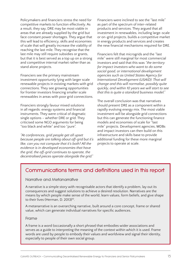Policymakers and financiers stress the need for competitive markets to function effectively. As a result, they say, DRE may be most viable in areas that are already supplied by the grid but face constant power shortages. They argue that this will lead to efficiency, skills and economies of scale that will greatly increase the viability of reaching the last mile. They recognise that the last mile may still require subsidies or grants, but that it is best served as a top up on a strong and competitive internal market rather than as stand alone projects.

Financiers see the primary mainstream investment opportunity lying with larger scale renewable projects in existing markets with grid connections. They see growing opportunities for frontier investors financing smaller scale renewables in areas with poor grid connections.

Financiers strongly favour mixed solutions in all regards: energy systems and financial instruments. They were critical of dogmatic single options – whether DRE or grid. They criticised some NGO arguments for being "too black and white" and too "pure".

*"At conferences, grid people get all upset because people are talking about off-grid but it's like, can you not compute that it's both? All the evidence is in developed economies that have the grid, the off-grid continues to operate, the decentralised pieces operate alongside the grid."*

Financiers were inclined to see the "last mile" as part of the spectrum of inter-related products and services. They argued that all investment in renewables, including large-scale or on-grid projects, builds a competitive market in energy products and services and creates the new financial mechanisms required for DRE.

Financiers felt that microgrids and the "last mile" were still marginal for most commercial investors and said that this was *"the territory for impact investors who want to do some social good, or international development agencies such as United States Agency for International Development (USAID). That will change and this will normalise, possibly quite quickly, and within 10 years we will start to see that this is quite a standard business model."*

The overall conclusion was that narratives should present DRE as a component within a rapidly evolving energy mix. The most viable investment will be alongside grid connections but this can generate the functioning finance models and economies of scale for "last mile" projects. Development agencies, MDBs and impact investors can then build on this infrastructure and skills base to provide additional funding for these more marginal projects to operate at scale.

### **Communications terms and definitions used in this report**

#### **Narrative and Metanarrative**

A narrative is a simple story with recognisable actors that identify a problem, lay out its consequences and suggest solutions to achieve a desired resolution. Narratives are the means by which people make sense of the world, learn values, form beliefs, and give shape to their lives (Herman, D. 2013)<sup>10</sup>.

A metanarrative is an overarching narrative, built around a core concept, frame or shared value, which can generate individual narratives for specific audiences.

#### **Frame**

A frame is a word (occasionally a short phrase) that embodies wider associations and serves as a guide to interpreting the meaning of the context within which it is used. Frame words are used by people to embody their values and worldview and signal their identity, especially to people of their own social group.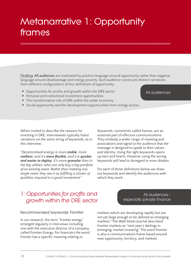## **Metanarrative 1: Opportunity frames**

**Finding: All audiences** are motivated by positive language around opportunity rather than negative language around disadvantage and energy poverty. Each audience constructs distinct narratives from different configurations of four definitions of opportunity:

- Opportunities for profits and growth within the DRE sector.
- Personal and institutional investment opportunities.
- The transformative role of DRE within the wider economy.
- Social opportunity and the development opportunities from energy access.

When invited to describe the reasons for investing in DRE, interviewees typically listed variations on the same string of keywords, as in this interview:

*"Decentralised energy is more stable, more resilient, and it's more flexible, and it is quicker and easier to deploy. It's more granular than in the big utilities, who can only buy a big portfolio of an existing asset. Rather than meeting any single need, they see it as fulfilling a cluster of qualities required in a good investment."* 

Keywords, sometimes called frames, are an essential part of effective communications. They embody a wider range of meaning and associations and signal to the audience that the message is designed to speak to their values and identity. Using the right keywords opens up ears and hearts. However using the wrong keywords will lead to disregard or even disdain.

All audiences

All audiences -

especially private finance

For each of these definitions below we draw out keywords and identify the audiences with which they work.

## *1: Opportunities for profits and growth within the DRE sector*

**Recommended keywords: Frontier** 

In our research, the term "frontier energy" emerged regularly in interviews including one with the executive director of a company called Frontier Energy. For financiers the word frontier has a specific meaning relating to

markets which are developing rapidly but are not yet large enough to be defined as emerging markets.[11](#page-30-10) The Wall Street Journal described frontier markets as "next year's darlings in emerging-market investing." The word frontier is also a communications frame based around

new opportunity, territory, and markets

16 CLIMATE OUTREACH **•** Communicating Decentralised Renewable Energy to Financiers and Senior Policymakers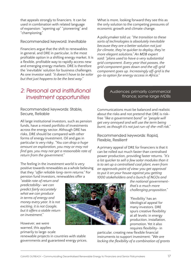that appeals strongly to financiers. It can be used in combination with related language of expansion: "opening up" "pioneering" and "championing."

#### **Recommended keyword: Inevitable**

Financiers argue that the shift to renewables in general, and DRE in particular, is the most profitable option in a shifting energy market. It is a flexible, profitable way to rapidly access new and emerging energy markets. DRE is therefore the 'inevitable' solution for business challenges. As one investor said: *"it doesn't have to be solar but that just happens to be the best way."* 

## *2: Personal and institutional investment opportunities*

**Recommended keywords: Stable, Secure, Reliable**

All large institutional investors, such as pension funds, have a mixed portfolio of investments across the energy sector. Although DRE has risks, DRE should be compared with other forms of energy investment. Oil and gas in particular is very risky. *"You can drop a huge amount on exploration, you may or may not find gas, you may not get a reasonable rate of return from the government."* 

The feeling in the investment world is very positive towards renewables as a whole believing that they *"offer reliable long-term returns."* For pension fund investors, renewables offer a

*"stable rate of return and predictability- we can predict fairly accurately what we can produce in terms of energy and money every year. It is not exciting, it is not Google, but it offers a stable return on investment."*

However, we were warned, this applies primarily to large-scale renewable projects in countries with stable governments and guaranteed energy prices.

What is more, looking forward they see this as the only solution to the competing pressures of economic growth and climate change.

A policymaker told us: *"the transition to these sorts of technologies is absolutely inevitable because they are a better solution not just for climate, they're quicker to deploy, they're more elegant solutions." An MDB expert said: "plans used to have a very substantial grid component. Every year that passes, the grid component goes down and the off-grid component goes up. Increasingly off-grid is the go-to option for energy access in Africa."*

#### Audiences: primarily commercial finance; some large MDBs

Communications must be balanced and realistic about the risks and not pretend that DRE is riskfree *"like a government bond"* or *"people will get very annoyed and will use the term being burnt, as though it's not just run-of-the-mill risk."*

#### **Recommended keywords: Rapid, Flexible, Resilient**

A primary appeal of DRE for financiers is that it can be rolled out much faster than centralised power production, providing faster returns. *"It's a lot quicker to sell a few solar modules than it is to set up a centralised coal plant, even from an approvals point of view-you get approval to put it on your house against you getting 1000 stakeholders and a bunch of NGOs and* 

*the national governmentthat's a much more challenging proposition."*

'Flexibility' has an ideological appeal for many investors. DRE spurs creative flexibility at all levels: in energy production, installation, promotion. Yet it also requires flexibility- in

particular, creating new flexible financial instruments to support investment: *"We are lacking the flexibility of a combination of grants* 

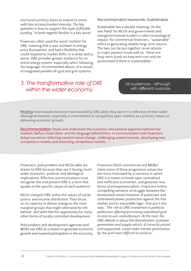*and local currency loans to extend to areas with less access/market maturity. The big question is how to support this type of flexible funding."* In both regards flexible is a key word.

Financiers often used the word 'resilient' for DRE, meaning that it was resistant to energy price fluctuations, and had a flexibility that could respond to market shifts. In a wider policy sense, DRE provides greater resilience for an entire energy system, especially when following the language, recommended above, of a mosaic of integrated parallel off-grid and grid systems.

### *3: The transformative role of DRE within the wider economy*

**Recommended keywords: Sustainable**

Sustainable has a double meaning. On the one hand, for NGOs and governments and intergovernmental funders it refers to ecological impact. For commercial financiers, "sustainable" refers to generating reliable long-term returns. The two can be put together: as an advisor to major pension funds told us: *"these are long-term funds so long term can only be guaranteed if there is sustainability."*

> All audiences - although with different nuances

**Finding:** Interviewees become most excited by DRE when they see in it a reflection of their wider ideological interests, especially a commitment to competitive open markets as a primary means of delivering economic growth.

**Recommendation:** Study and understand the economic and political argument behind free markets. Reflect those ideas, and the language behind them, in communication with financiers. Adopt narratives reflecting transformative change, challenging vested interests, developing new competitive models, and extending competitive markets.

Financiers, policymakers and NGOs alike are drawn to DRE because they see it having much wider economic, political, and ideological implications. Effective communications must recognise this and present DRE in a form that speaks to the specific values of each audience.

NGOs interpret DRE within the values of social justice, and income distribution. They focus on its capacity to deliver energy to the most marginal groups that might otherwise be left behind- and with that the opportunity for many other forms of locally controlled development.

Policymakers and development agencies and MDBs see DRE as a means to generate economic growth and expand participation in the economy.

Financiers (both commercial and MDBs) share some of these progressive values but are more motivated by a narrative in which DRE is a means to break open centralised and inefficient economies, and generate new forms of entrepreneurialism. Financiers hold a compelling narrative of struggle between the entrenched vested interests of politicians and centralised power production against the free market and its inexorable logic. One put it this way: *"The risk to DRE investment is political; politicians offering/promising subsidised grid access to win votes/favours. At the root, the DRE debate is about the liberalisation of power generation and supply which, if correctly priced and supported, could make market penetration by the grid more difficult to achieve."*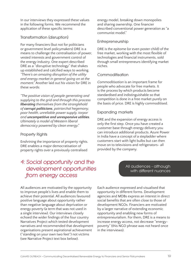In our interviews they expressed these values in the following forms. We recommend the application of these specific terms:

#### **Transformation (disruption)**

For many financiers (but not for politicians or government level policymakers) DRE is a means to challenge the centralisation of power, vested interests and government control of the energy industry. One expert described DRE as a "disruptive technology" that shakes up established and calcified ways to working. *"There's an amazing disruption of the utility and energy market in general going on at the moment."* Another laid out his vision for DRE in these words:

*"The positive vision of people generating and supplying to the grid and through this process liberating themselves from the stranglehold of corrupt politicians, patriarchal hegemony, poor health, unreliable power supply, torpor and uncompetitive and unresponsive utilities. Ultimately a model of Western liberal democracy powered by clean energy."*

#### **Property Rights**

Enshrining the importance of property rights. DRE enables a major democratisation of property rights over a previously centralised

## *4: Social opportunity and the development opportunities from energy access*

All audiences are motivated by the opportunity to improve people's lives and enable them to achieve their potential. All audiences favoured positive language about opportunity rather than negative language about deprivation or energy poverty (a term that was not used in a single interview). Our interviews closely echoed the wider findings of the four country Narratives Project which tested development narratives and recommended that development organisations present aspirational achievement ("standing on your own two feet") not victims (see Narrative Project text box below).

energy model, breaking down monopolies and sharing ownership. One financier described conventional power generation as "a communist model."

#### **Entrepreneurship**

DRE is the epitome (or even poster child) of the free market, working with the most flexible of technologies and financial instruments, sold through small entrepreneurs identifying market niches.

#### **Commoditisation**

*Commoditisation* is an important frame for people who advocate for free markets. It is the process by which products become standardised and indistinguishable so that competition is done in a free market purely on the basis of price. DRE is highly commoditised.

#### **Expanding markets**

DRE and the expansion of energy access is only the first step. Once you have created a customer base through energy delivery you can introduce additional products. Azure Power in India have a concept of a stepladder where customers start with light bulbs but can then move on to televisions and refrigerators- all provided by the company.

#### All audiences - although with different nuances

Each audience expressed and visualised that opportunity in different forms. Development agencies and MDBs express an interest in direct social benefits that are often close to those of development NGOs. Financiers are motivated by a larger narrative of extending economic opportunity and enabling new forms of entrepreneurialism. For them, DRE is a means to increase energy access, not decrease "energypoverty" (this NGO phrase was not heard once in the interviews).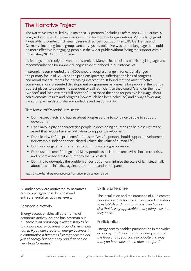### **The Narrative Project**

The Narrative Project, led by 12 major NGO partners (including Oxfam and CARE), critically analysed and tested the narratives used by development organisations. With a large grant it was able to conduct high quality research across four countries (UK, US, France and Germany) including focus groups and surveys. Its objective was to find language that could be more effective in engaging people in the wider public without losing the support within the existing NGO supporter base.

Its findings are directly relevant to this project. Many of its criticisms of existing language and recommendations for improved language were echoed in our interviews.

It strongly recommended that NGOs should adopt a change in tone. It challenged the primary focus of NGOs on the problem (poverty, suffering), the lack of progress and moralistic arguments for increasing intervention. It found that the most effective communications presented development programmes as a means for people in the world's poorest places to become independent or self-sufficient so they could "stand on their own two feet" and "achieve their full potential". It stressed the need for positive language about achievements, results and progress (how much has been achieved) and a way of working based on partnership to share knowledge and responsibility.

**The table of "don'ts" included:**

- Don't expect facts and figures about progress alone to convince people to support development.
- Don't invoke pity or characterise people in developing countries as helpless victims or assert that people have an obligation to support development.
- Don't lead with "the problems" focus on "why" a person should support development (for example: independence, shared values, the value of human life).
- Don't use long-term timeframes to communicate a goal or vision.
- Don't use the term "foreign aid". Many people associate the term with short-term crisis, and others associate it with money that is wasted.
- Don't try to downplay the problem of corruption or minimise the scale of it. Instead, talk about it as an 'injustice' against both donors and participants.

<https://www.bond.org.uk/resources/narrative-project-user-guide>

All audiences were motivated by narratives around energy access, business and entrepreneurialism at three levels.

#### **Economic activity**

Energy access enables all other forms of economic activity. As one businessman put it: *"There is an amazingly exciting story to be told about micro-business around energy and water. If you can create an energy business in a community, it becomes like a generator, not just of energy but of money and that can be very transformative."*

#### **Skills & Enterprise**

The installation and maintenance of DRE creates new skills and enterprises.*"Once you know how to establish and run a business they have a skill that is very applicable to anything else that they need."* 

#### **Participation**

Energy access enables participation in the wider economy: *"It doesn't matter where you are in the food chain, you can participate in a way that you have never been able to before."*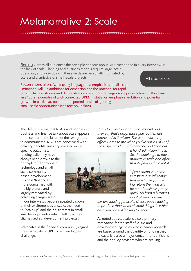## **Metanarrative 2: Scale**

**Finding:** Across all audiences the principle concern about DRE, mentioned in every interview, is the lack of scale. Planning and business models require large-scale operation, and individuals in these fields are personally motivated by scale and dismissive of small-scale projects. All audiences

**Recommendation:** Avoid using language that emphasises small-scale limitations. Talk up ambitions for expansion and the potential for rapid growth. In case studies and demonstration sites, focus on large-scale projects (even if these are less "pure" examples of grid-connected DRE). In statistics, emphasise ambition and potential growth. In particular, point out the potential risks of ignoring small-scale opportunities (see text box below).

The different ways that NGOs and people in business and finance talk about scale appears to be central to the failure of the two groups to communicate. NGOs are concerned with delivery benefits and very invested in the

specific outcomes. Ideologically they have always been drawn to the principle of "appropriate" technology and small scale communitybased development. Business/finance are more concerned with the big picture and largely motivated by achieving a large-scale.



*interested in 3 million. This is not worth my effort. Come to me when you've got 20,000 of those systems lumped together, and I can put a hundred million into it. So, the challenge to those* 

*"I talk to investors about that market and they say that's okay, that's fine, but I'm not* 

> *markets is scale and after that its finding the capital."*

*"If you spend your time investing in small things that don't give you the big return then you will be out of business pretty quick. So from a business point of view you are* 

*always looking for scale. Unless you're looking to produce thousands of small things, in which case you are still looking for scale."*

[Asian Development Bank](https://www.flickr.com/photos/asiandevelopmentbank/23950563170/in/album-72157679277512822/)

As noted above, scale is also a primary motivation for the staff of MDBs and development agencies whose career rewards are based around the quantity of funding they release. It is also a major concern for politicians and their policy advisors who are seeking

In our interviews people repeatedly spoke of their excitement over scale, the need to "scale up" and their disinterest in small size developments- which, tellingly, they stigmatised as "development projects".

Advocates in the financial community regard the small scale of DRE to be their biggest challenge.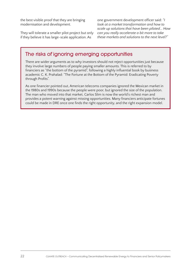the best visible proof that they are bringing modernisation and development.

They will tolerate a smaller pilot project but only if they believe it has large-scale application. As

one government development officer said: *"I look at a market transformation and how to scale up solutions that have been piloted... How can you really accelerate a bit more to take these markets and solutions to the next level?"*

### **The risks of ignoring emerging opportunities**

There are wider arguments as to why investors should not reject opportunities just because they involve large numbers of people paying smaller amounts. This is referred to by financiers as "the bottom of the pyramid", following a highly influential book by business academic C. K. Prahalad: "The Fortune at the Bottom of the Pyramid: Eradicating Poverty through Profits".

As one financier pointed out, American telecoms companies ignored the Mexican market in the 1980s and 1990s because the people were poor, but ignored the size of the population. The man who moved into that market, Carlos Slim is now the world's richest man and provides a potent warning against missing opportunities. Many financiers anticipate fortunes could be made in DRE once one finds the right opportunity, and the right expansion model.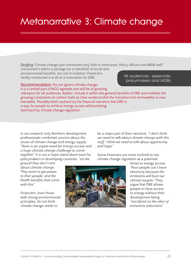## **Metanarrative 3: Climate change**

**Finding:** Climate change was mentioned very little in interviews. Policy officers and MDB staff mentioned it within a package (or a checklist) of social and environmental benefits, but not in isolation. Financiers hardly mentioned it at all as a motivation for DRE.

**Recommendation:** Do not ignore climate change -

it is a central part of NGO agendas and will be of growing

All audiences - especially policymakers and MDBs

relevance for all audiences. Rather, include it within the general benefits of DRE and mobilise the growing constraints on carbon fuels as clear evidence that the transition into renewables is now inevitable. Possibly (with caution) try the financial narrative that DRE is a way for people to achieve energy access without being held back by climate change regulation.

In our research only Northern development professionals combined concern about the issues of climate change and energy supply: *"there is an urgent need for energy access and a huge climate change challenge to come together."* It is not a major stand alone issue for policymakers in developing countries: *"on the* 

be a major part of their narrative: *"I don't think we need to talk about climate change with this stuff. I think we need to talk about opportunity and hope."*

Some financiers are more inclined to see climate change regulation as a potential

*ground they don't care about climate change. They want to get power to their people, and the health benefits that come with this."*

Financiers, even those with strong environmental principles, do not think climate change needs to



threat to energy access: *"Poor people can't have electricity because the emissions will bust our climate targets."* They argue that DRE allows people to have access to energy without their development being *"sacrificed on the altar of emissions reductions."*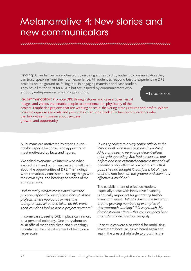## **Metanarrative 4: New stories and new communicators**

**Finding:** All audiences are motivated by inspiring stories told by authentic communicators they can trust, speaking from their own experience. All audiences respond best to experiencing DRE

projects on the ground or, failing that, in engaging materials and case studies. They have limited trust for NGOs but are inspired by communicators who embody entrepreneurialism and opportunity.

All audiences

**Recommendation:** Promote DRE through stories and case studies, visual images and videos that enable people to experience the physicality of the project. Emphasise projects that are working at scale, delivering strong returns and profits. Where possible organise site visits and personal interactions. Seek effective communicators who can talk with enthusiasm about success,

growth, and opportunity.

All humans are motivated by stories, even maybe especially- those who appear to be most motivated by facts and figures.

We asked everyone we interviewed what excited them and who they trusted to tell them about the opportunities of DRE. The findings were remarkably consistent - seeing things with their own eyes, and hearing the stories of the entrepreneurs:

*"What really excites me is when I visit the project- especially one of these decentralised projects where you actually meet the entrepreneurs who have taken up this work. Then you don't look to it as a project anymore."*

In some cases, seeing DRE in place can almost be a personal epiphany. One story about an MDB official made this clear. Not surprisingly it contained the critical element of being on a large-scale:

*"I was speaking to a very senior official in the World Bank who had just come from West Africa and seen a very large decentralised mini-grid operating. She had never seen one before and was extremely enthusiastic and will become a very effective advocate. Until that point she had thought it was just a lot of hype until she had been on the ground and seen how effective it could be."*

The establishment of effective models, especially those with innovative financing, is critically important for generating further investor interest: *"What's driving the transition are the growing numbers of examples of this approach working." "It's very much this demonstration effect - this company has been around and delivered successfully."* 

Case studies were also critical for mobilising investment because, as we heard again and again, the greatest obstacle to growth is the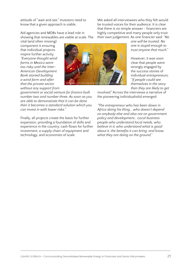attitude of "wait and see." Investors need to know that a given approach is viable.

Aid agencies and MDBs have a lead role in showing that renewables are viable at scale. The

vital (and often missing) component is ensuring that individual projects inspire further activity. *"Everyone thought wind farms in Mexico were too risky until the Inter-American Development Bank started building a wind farm and after that the private sector without any support from* 

*government or social venture for finance built number two and number three. As soon as you are able to demonstrate that it can be done then it becomes a standard solution which you can invest in with lower risks."*

Finally, all projects create the basis for further expansion, providing a foundation of skills and experience in the country, cash flows for further investment, a supply chain of equipment and technology, and economies of scale.



We asked all interviewees who they felt would be trusted voices for their audience. It is clear that there is no simple answer - financiers are highly competitive and many people only trust their own judgement. As one financier said: *"No* 

> *one will be trusted. No one is stupid enough to trust anyone that much."*

However, it was soon clear that people were strongly engaged by the success stories of individual entrepreneurs: *"If people could see themselves in the story then they are likely to get* 

*involved."* Across the interviews a narrative of the pioneering individualist(s) emerged:

*"The entrepreneur who has been down in Africa doing his thing... who doesn't depend on anybody else and also not on government policy and development… Local business people who understand local needs, who believe in it, who understand what is good about it, the benefits it can bring, and know what they are doing on the ground."*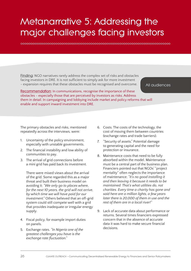## **Metanarrative 5: Addressing the major challenges facing investors**

**Finding:** NGO narratives rarely address the complex set of risks and obstacles facing investors in DRE. It is not sufficient to simply ask for more investment - expansion requires that these obstacles must be recognised and overcome.

All audiences

**Recommendation:** In communications, recognise the importance of these obstacles - especially those that are perceived by investors as risks. Address them in detail. In campaigning and lobbying include market and policy reforms that will enable and support inward investment into DRE.

The primary obstacles and risks, mentioned repeatedly across the interviews, were:

- 1. Uncertainty of the policy environment, especially with unstable governments.
- 2. The financial instability and low ability of communities to pay.
- 3. The arrival of grid connections before a mini grid has paid back its investment.

There were mixed views about the arrival of the grid. Some regarded this as a major threat and built their business model on avoiding it: *"We only go to places where, for the next 10 years, the grid will not arrive, by which time we will have paid for our investment."* Others believed that an off-grid system could still compete well with a grid that provides inadequate or irregular energy supply.

- 4. Fiscal policy, for example import duties on panels.
- 5. Exchange rates. *"In Nigeria one of the greatest challenges you have is the exchange rate fluctuation."*
- 6. Costs. The costs of the technology, the cost of moving them between countries (exchange rates and trade barriers).
- 7. "Security of assets." Potential damage to generating capital and the need for protection or insurance.
- 8. Maintenance costs that need to be fully absorbed within the model. Maintenance must be a central part of the business plan. Financiers pointed out that NGOs' "project mentality" often neglects the importance of maintenance: *"It's no good installing it and then leaving it because it needs to be maintained. That's what utilities do, not charities. Every time a charity has gone and said here are a million lights, a few years later there is 20,000 of them in use and the rest of them are in a local river!"*
- 9. Lack of accurate data about performance or returns. Several times financiers expressed concern that in the absence of accurate data it was hard to make secure financial decisions.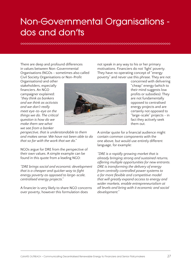## **Non-Governmental Organisations dos and don'ts**

There are deep and profound differences in values between Non-Governmental Organisations (NGOs - sometimes also called Civil Society Organisations or Non-Profit

Organisations) and other stakeholders, especially financiers. An NGO campaigner explained: *"they think as bankers and we think as activists and we don't really meet eye-to-eye on the things we do. The critical question is how do we make them see what we see from a banker* 

*perspective, that is understandable to them and makes sense. We have not been able to do that so far with the work that we do."* 

NGOs argue for DRE from the perspective of their own values. A simple example can be found in this quote from a leading NGO:

*"DRE brings social and economic development that is a cheaper and quicker way to fight energy poverty as opposed to large-scale, centralised energy projects."*

A financier is very likely to share NGO concerns over poverty, however this formulation does



not speak in any way to his or her primary motivations. Financiers do not 'fight' poverty. They have no operating concept of "energy poverty" and never use this phrase. They are not

> concerned with delivering "cheap" energy (which to their mind suggests low profits or subsidies). They are not fundamentally opposed to centralised energy projects and are certainly not opposed to "large-scale" projects - in fact they actively seek them out.

A similar quote for a financial audience might contain common components with the one above, but would use entirely different language, for example:

*"DRE is a rapidly growing market that is already bringing strong and sustained returns, offering multiple opportunities for new entrants. DRE is transforming the delivery of energy from centrally controlled power systems to a far more flexible and competitive model that will greatly expand access to energy and wider markets, enable entrepreneurialism at all levels and bring with it economic and social development."*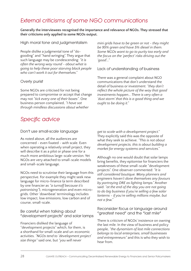## *External criticisms of some NGO communications*

**Generally the interviewees recognised the importance and relevance of NGOs. They stressed that their criticisms only applied to some NGOs output.**

**High moral tone and judgmentalism**

People dislike a judgmental tone of "dogooding" and "hand wringing". They argue that such language may be condescending: *"it is often the wrong way round - about what is going to help these poor starving black people who can't work it out for themselves."* 

#### **Overly purist**

Some NGOs are criticised for not being prepared to compromise or accept that change may not *"tick every one of their boxes"*. One business person complained, *"I have sat through mindless discussions about whether* 

*Specific advice*

#### **Don't use small-scale language**

As noted above, all the audiences are concerned - even fixated - with scale. Even when operating a relatively small project, they will describe it as a pilot or phase one for a much more ambitious large-scale version. Yet NGOs are very attached to small-scale models and small-scale language.

NGOs need to scrutinise their language from this perspective. For example they might seek new language for micro-finance (a term described by one financier as *"a turnoff because it's patronising"*), microgeneration and even microgrids. Other 'downbeat' terminology includes low impact, low emissions, low carbon and of course, small-scale.

**Be careful when talking about "development projects" and solar lamps**

Financiers disliked the language of "development projects" which, for them, is a shorthand for small-scale and un-economic activities. *"NGOs tend to 'development project' size things"* said one, but *"you will never* 

*mini grids have to be green or not - they might be 95% green and have 5% diesel in them. Some NGOs want to go to purity too early and the focus on the 'perfect' risks driving out the 'good'..."*

**Lack of understanding of business**

There was a general complaint about NGO communications that don't understand the detail of business or investment: *"they don't reflect the whole picture of the way that good investments happen... There is very often a 'dust storm' that this is a good thing and we ought to be doing it."*

*get to scale with a development project."* They explicitly said this was the opposite of what they seek to achieve. *"This is not about development projects, this is about building a market for energy systems and services."* 

Although no one would doubt that solar lamps bring benefits, they epitomise for financiers the weaknesses of these small-scale "development projects". One observer commented: *"It is still considered boutique. Many planners and engineers haven't done themselves any favours by portraying DRE as lighting lamps."* Another said: *"at the end of the day you are not going to do big business if you're selling a few solar lanterns - if you're selling millions maybe, but not a few."*

**Reconsider focus or language around "greatest need" and the "last mile"**

There is criticism of NGOs' insistence on owning the last mile. In the view of business and policy people, *"the dynamism of last mile connections belongs to local enterprises, small businesses and entrepreneurs"* and this is who they wish to hear from.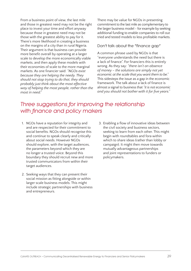From a business point of view, the last mile and those in greatest need may not be the right place to invest your time and effort anyway because those in greatest need may not be those with the greatest ability to pay for it. There's more likelihood in creating a business on the margins of a city than in rural Nigeria. Their argument is that business can provide more benefit overall by operating at a larger scale to develop the more economically viable markets, and then apply these models with their economies of scale to the more marginal markets. As one financier said: *"NGOs exist because they are helping the needy. They should not stop trying to do that, they should probably just think about the most effective way of helping the most people, rather than the most in need."*

There may be value for NGOs in presenting commitment to the last mile as complementary to the larger business model - for example by seeking additional funding to enable companies to roll out tried and tested models to less profitable markets.

#### **Don't talk about the "finance gap"**

A common phrase used by NGOs is that "everyone understands the need but there is a lack of finance". For financiers this is entirely wrong. As they say: *"there isn't an absence of money – the solutions are simply not yet economic at the scale that you want them to be."* This sidesteps the issue as a gap in the economic framework. The talk about a lack of finance is almost a signal to business that *"it is not economic and you should not bother with it for five years."*

## *Three suggestions for improving the relationship with finance and policy makers*

- 1. NGOs have a reputation for integrity and and are respected for their commitment to social benefits. NGOs should recognise this and continue to speak clearly and critically about social needs. However NGOs should explore, with the target audiences, the parameters beyond which they are no longer a trusted voice. Beyond this boundary they should recruit new and more trusted communicators from within their target audiences.
- 2. Seeking ways that they can present their social mission as fitting alongside or within larger scale business models. This might include strategic partnerships with business and entrepreneurs.
- 3. Enabling a flow of innovative ideas between the civil society and business sectors, seeking to learn from each other. This might begin with roundtables and fora within which to share ideas (rather than lobby or campaign). It might then move towards mutually advantageous partnerships and joint representations to funders or policymakers.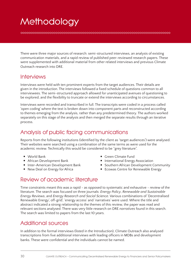## **Methodology**

There were three major sources of research: semi-structured interviews, an analysis of existing communication materials, and a rapid review of published peer-reviewed research papers. These were supplemented with additional material from other related interviews and previous Climate Outreach research into DRE.

### **Interviews**

Interviews were held with ten prominent experts from the target audiences. Their details are given in the introduction. The interviews followed a fixed schedule of questions common to all interviewees. The semi-structured approach allowed for unanticipated avenues of questioning to be explored, and the flexibility to truncate or extend the interviews according to circumstances.

Interviews were recorded and transcribed in full. The transcripts were coded in a process called 'open coding' where the text is broken down into component parts and reconstructed according to themes emerging from the analysis, rather than any predetermined theory. The authors worked separately on this stage of the analysis and then merged the separate results through an iterative process.

## Analysis of public facing communications

Reports from the following institutions (identified by the client as 'target audiences') were analysed. Their websites were searched using a combination of the same terms as were used for the academic review. Technically this would be considered to be "grey literature".

- World Bank
- African Development Bank
- Inter-American Development Bank
- New Deal on Energy for Africa
- Green Climate Fund
- International Energy Association
- Southern African Development Community
- Ecowas Centre for Renewable Energy

## Review of academic literature

Time constraints meant this was a rapid - as opposed to systematic and exhaustive - review of the literature. The search was focused on three journals: *Energy Policy*, *Renewable and Sustainable Energy Reviews*, and *Energy Research and Social Science*. Various combinations of 'Decentralised Renewable Energy', off-grid', 'energy access' and 'narratives' were used. Where the title and abstract indicated a strong relationship to the themes of this review, the paper was read and relevant sections analysed. There was very little research on DRE *narratives* found in this search. The search was limited to papers from the last 10 years.

### Additional sources

In addition to the formal interviews (listed in the Introduction), Climate Outreach also analysed transcriptions from five additional interviews with leading officers in MDBs and development banks. These were confidential and the individuals cannot be named.